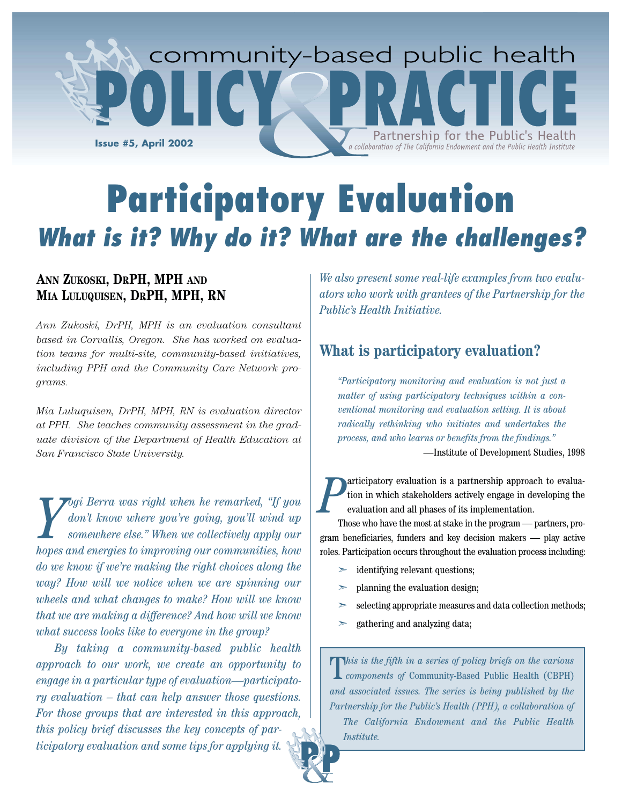

# **Participatory Evaluation What is it? Why do it? What are the challenges?**

## **ANN ZUKOSKI, DRPH, MPH AND MIA LULUQUISEN, DRPH, MPH, RN**

*Ann Zukoski, DrPH, MPH is an evaluation consultant based in Corvallis, Oregon. She has worked on evaluation teams for multi-site, community-based initiatives, including PPH and the Community Care Network programs.*

*Mia Luluquisen, DrPH, MPH, RN is evaluation director at PPH. She teaches community assessment in the graduate division of the Department of Health Education at San Francisco State University.*

*Y ogi Berra was right when he remarked, "If you don't know where you're going, you'll wind up somewhere else." When we collectively apply our hopes and energies to improving our communities, how do we know if we're making the right choices along the way? How will we notice when we are spinning our wheels and what changes to make? How will we know that we are making a difference? And how will we know what success looks like to everyone in the group?* 

*By taking a community-based public health approach to our work, we create an opportunity to engage in a particular type of evaluation—participatory evaluation – that can help answer those questions. For those groups that are interested in this approach, this policy brief discusses the key concepts of participatory evaluation and some tips for applying it.*

*We also present some real-life examples from two evaluators who work with grantees of the Partnership for the Public's Health Initiative.*

## **What is participatory evaluation?**

*"Participatory monitoring and evaluation is not just a matter of using participatory techniques within a conventional monitoring and evaluation setting. It is about radically rethinking who initiates and undertakes the process, and who learns or benefits from the findings."* 

—Institute of Development Studies, 1998

*P* articipatory evaluation is a partnership approach to evaluation in which stakeholders actively engage in developing the evaluation and all phases of its implementation.

Those who have the most at stake in the program — partners, program beneficiaries, funders and key decision makers — play active roles. Participation occurs throughout the evaluation process including:

- identifying relevant questions;
- ➣ planning the evaluation design;
- ➣ selecting appropriate measures and data collection methods;
- ➣ gathering and analyzing data;

T*his is the fifth in a series of policy briefs on the various components of* Community-Based Public Health (CBPH) *and associated issues. The series is being published by the Partnership for the Public's Health (PPH), a collaboration of The California Endowment and the Public Health Institute.*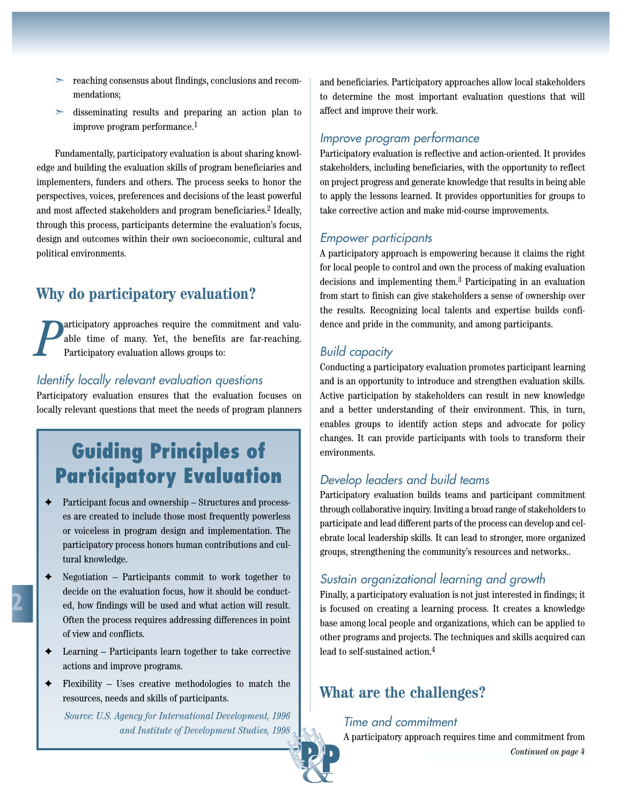- ➣ reaching consensus about findings, conclusions and recommendations;
- ➣ disseminating results and preparing an action plan to improve program performance.1

Fundamentally, participatory evaluation is about sharing knowledge and building the evaluation skills of program beneficiaries and implementers, funders and others. The process seeks to honor the perspectives, voices, preferences and decisions of the least powerful and most affected stakeholders and program beneficiaries.2 Ideally, through this process, participants determine the evaluation's focus, design and outcomes within their own socioeconomic, cultural and political environments.

## **Why do participatory evaluation?**

*P* articipatory approaches require the commitment and valuable time of many. Yet, the benefits are far-reaching. Participatory evaluation allows groups to:

#### Identify locally relevant evaluation questions

Participatory evaluation ensures that the evaluation focuses on locally relevant questions that meet the needs of program planners

# **Guiding Principles of Participatory Evaluation**

- ✦ Participant focus and ownership Structures and processes are created to include those most frequently powerless or voiceless in program design and implementation. The participatory process honors human contributions and cultural knowledge.
- $\triangle$  Negotiation Participants commit to work together to decide on the evaluation focus, how it should be conducted, how findings will be used and what action will result. Often the process requires addressing differences in point of view and conflicts.
- Learning Participants learn together to take corrective actions and improve programs.
- $\triangle$  Flexibility Uses creative methodologies to match the resources, needs and skills of participants.

*Source: U.S. Agency for International Development, 1996 and Institute of Development Studies, 1998* and beneficiaries. Participatory approaches allow local stakeholders to determine the most important evaluation questions that will affect and improve their work.

#### Improve program performance

Participatory evaluation is reflective and action-oriented. It provides stakeholders, including beneficiaries, with the opportunity to reflect on project progress and generate knowledge that results in being able to apply the lessons learned. It provides opportunities for groups to take corrective action and make mid-course improvements.

#### Empower participants

A participatory approach is empowering because it claims the right for local people to control and own the process of making evaluation decisions and implementing them.3 Participating in an evaluation from start to finish can give stakeholders a sense of ownership over the results. Recognizing local talents and expertise builds confidence and pride in the community, and among participants.

#### Build capacity

Conducting a participatory evaluation promotes participant learning and is an opportunity to introduce and strengthen evaluation skills. Active participation by stakeholders can result in new knowledge and a better understanding of their environment. This, in turn, enables groups to identify action steps and advocate for policy changes. It can provide participants with tools to transform their environments.

#### Develop leaders and build teams

Participatory evaluation builds teams and participant commitment through collaborative inquiry. Inviting a broad range of stakeholders to participate and lead different parts of the process can develop and celebrate local leadership skills. It can lead to stronger, more organized groups, strengthening the community's resources and networks..

#### Sustain organizational learning and growth

Finally, a participatory evaluation is not just interested in findings; it is focused on creating a learning process. It creates a knowledge base among local people and organizations, which can be applied to other programs and projects. The techniques and skills acquired can lead to self-sustained action.4

## **What are the challenges?**

Time and commitment

A participatory approach requires time and commitment from *Continued on page 4*

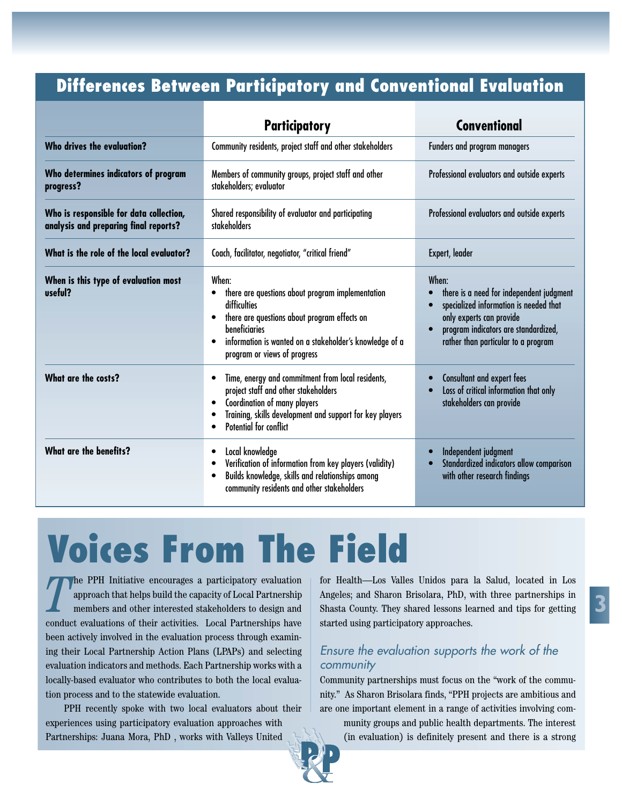## **Differences Between Participatory and Conventional Evaluation**

|                                                                                  | <b>Participatory</b>                                                                                                                                                                                                                               | <b>Conventional</b>                                                                                                                                                                                    |
|----------------------------------------------------------------------------------|----------------------------------------------------------------------------------------------------------------------------------------------------------------------------------------------------------------------------------------------------|--------------------------------------------------------------------------------------------------------------------------------------------------------------------------------------------------------|
| Who drives the evaluation?                                                       | Community residents, project staff and other stakeholders                                                                                                                                                                                          | Funders and program managers                                                                                                                                                                           |
| Who determines indicators of program<br>progress?                                | Members of community groups, project staff and other<br>stakeholders; evaluator                                                                                                                                                                    | Professional evaluators and outside experts                                                                                                                                                            |
| Who is responsible for data collection,<br>analysis and preparing final reports? | Shared responsibility of evaluator and participating<br>stakeholders                                                                                                                                                                               | Professional evaluators and outside experts                                                                                                                                                            |
| What is the role of the local evaluator?                                         | Coach, facilitator, negotiator, "critical friend"                                                                                                                                                                                                  | Expert, leader                                                                                                                                                                                         |
| When is this type of evaluation most<br>useful?                                  | When:<br>there are questions about program implementation<br>difficulties<br>there are questions about program effects on<br>$\bullet$<br>beneficiaries<br>information is wanted on a stakeholder's knowledge of a<br>program or views of progress | When:<br>there is a need for independent judgment<br>specialized information is needed that<br>only experts can provide<br>program indicators are standardized,<br>rather than particular to a program |
| What are the costs?                                                              | Time, energy and commitment from local residents,<br>project staff and other stakeholders<br>Coordination of many players<br>$\bullet$<br>Training, skills development and support for key players<br><b>Potential for conflict</b>                | Consultant and expert fees<br>Loss of critical information that only<br>stakeholders can provide                                                                                                       |
| <b>What are the benefits?</b>                                                    | Local knowledge<br>$\bullet$<br>Verification of information from key players (validity)<br>Builds knowledge, skills and relationships among<br>$\bullet$<br>community residents and other stakeholders                                             | Independent judgment<br>Standardized indicators allow comparison<br>with other research findings                                                                                                       |

# **Voices From The Field**

The PPH Initiative encourages a participatory evaluation for Health—Los Valles Unidos para la Salud, located in Los approach that helps build the capacity of Local Partnership Angeles; and Sharon Brisolara, PhD, with three he PPH Initiative encourages a participatory evaluation approach that helps build the capacity of Local Partnership members and other interested stakeholders to design and conduct evaluations of their activities. Local Partnerships have been actively involved in the evaluation process through examining their Local Partnership Action Plans (LPAPs) and selecting evaluation indicators and methods. Each Partnership works with a locally-based evaluator who contributes to both the local evaluation process and to the statewide evaluation.

PPH recently spoke with two local evaluators about their experiences using participatory evaluation approaches with Partnerships: Juana Mora, PhD , works with Valleys United

for Health—Los Valles Unidos para la Salud, located in Los Angeles; and Sharon Brisolara, PhD, with three partnerships in Shasta County. They shared lessons learned and tips for getting started using participatory approaches.

### Ensure the evaluation supports the work of the community

Community partnerships must focus on the "work of the community." As Sharon Brisolara finds, "PPH projects are ambitious and are one important element in a range of activities involving com-

munity groups and public health departments. The interest (in evaluation) is definitely present and there is a strong

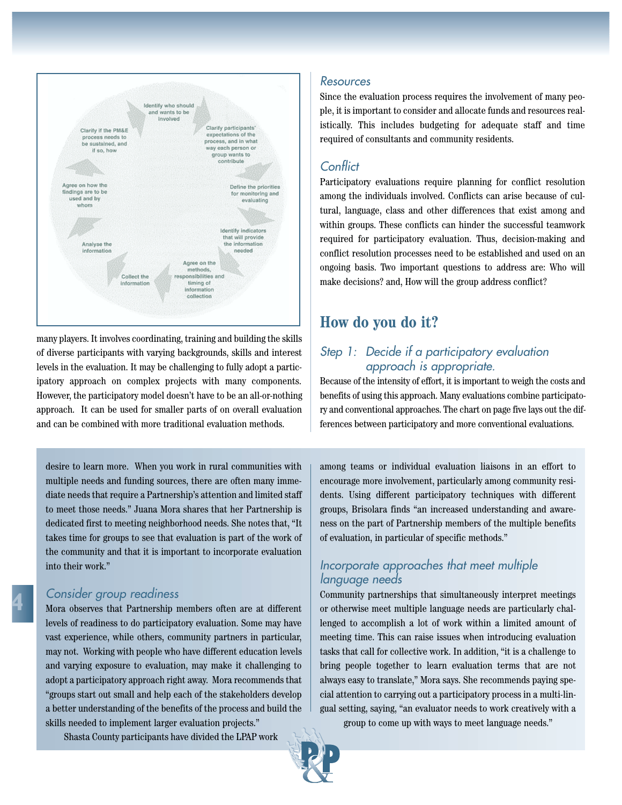

many players. It involves coordinating, training and building the skills of diverse participants with varying backgrounds, skills and interest levels in the evaluation. It may be challenging to fully adopt a participatory approach on complex projects with many components. However, the participatory model doesn't have to be an all-or-nothing approach. It can be used for smaller parts of on overall evaluation and can be combined with more traditional evaluation methods.

desire to learn more. When you work in rural communities with multiple needs and funding sources, there are often many immediate needs that require a Partnership's attention and limited staff to meet those needs." Juana Mora shares that her Partnership is dedicated first to meeting neighborhood needs. She notes that, "It takes time for groups to see that evaluation is part of the work of the community and that it is important to incorporate evaluation into their work."

#### Consider group readiness

Mora observes that Partnership members often are at different levels of readiness to do participatory evaluation. Some may have vast experience, while others, community partners in particular, may not. Working with people who have different education levels and varying exposure to evaluation, may make it challenging to adopt a participatory approach right away. Mora recommends that "groups start out small and help each of the stakeholders develop a better understanding of the benefits of the process and build the skills needed to implement larger evaluation projects."

Shasta County participants have divided the LPAP work

#### Resources

Since the evaluation process requires the involvement of many people, it is important to consider and allocate funds and resources realistically. This includes budgeting for adequate staff and time required of consultants and community residents.

#### **Conflict**

Participatory evaluations require planning for conflict resolution among the individuals involved. Conflicts can arise because of cultural, language, class and other differences that exist among and within groups. These conflicts can hinder the successful teamwork required for participatory evaluation. Thus, decision-making and conflict resolution processes need to be established and used on an ongoing basis. Two important questions to address are: Who will make decisions? and, How will the group address conflict?

## **How do you do it?**

#### Step 1: Decide if a participatory evaluation approach is appropriate.

Because of the intensity of effort, it is important to weigh the costs and benefits of using this approach. Many evaluations combine participatory and conventional approaches. The chart on page five lays out the differences between participatory and more conventional evaluations.

among teams or individual evaluation liaisons in an effort to encourage more involvement, particularly among community residents. Using different participatory techniques with different groups, Brisolara finds "an increased understanding and awareness on the part of Partnership members of the multiple benefits of evaluation, in particular of specific methods."

#### Incorporate approaches that meet multiple language needs

Community partnerships that simultaneously interpret meetings or otherwise meet multiple language needs are particularly challenged to accomplish a lot of work within a limited amount of meeting time. This can raise issues when introducing evaluation tasks that call for collective work. In addition, "it is a challenge to bring people together to learn evaluation terms that are not always easy to translate," Mora says. She recommends paying special attention to carrying out a participatory process in a multi-lingual setting, saying, "an evaluator needs to work creatively with a group to come up with ways to meet language needs."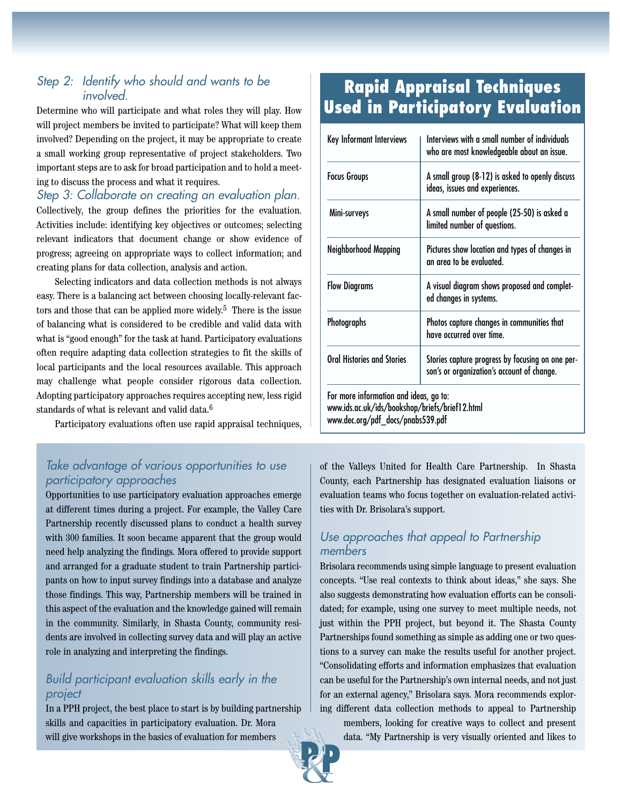## Step 2: Identify who should and wants to be *involved*

Determine who will participate and what roles they will play. How will project members be invited to participate? What will keep them involved? Depending on the project, it may be appropriate to create a small working group representative of project stakeholders. Two important steps are to ask for broad participation and to hold a meeting to discuss the process and what it requires.

Step 3: Collaborate on creating an evaluation plan. Collectively, the group defines the priorities for the evaluation. Activities include: identifying key objectives or outcomes; selecting relevant indicators that document change or show evidence of progress; agreeing on appropriate ways to collect information; and creating plans for data collection, analysis and action.

Selecting indicators and data collection methods is not always easy. There is a balancing act between choosing locally-relevant factors and those that can be applied more widely.<sup>5</sup> There is the issue of balancing what is considered to be credible and valid data with what is "good enough" for the task at hand. Participatory evaluations often require adapting data collection strategies to fit the skills of local participants and the local resources available. This approach may challenge what people consider rigorous data collection. Adopting participatory approaches requires accepting new, less rigid standards of what is relevant and valid data.6

Participatory evaluations often use rapid appraisal techniques,

### Take advantage of various opportunities to use participatory approaches

Opportunities to use participatory evaluation approaches emerge at different times during a project. For example, the Valley Care Partnership recently discussed plans to conduct a health survey with 300 families. It soon became apparent that the group would need help analyzing the findings. Mora offered to provide support and arranged for a graduate student to train Partnership participants on how to input survey findings into a database and analyze those findings. This way, Partnership members will be trained in this aspect of the evaluation and the knowledge gained will remain in the community. Similarly, in Shasta County, community residents are involved in collecting survey data and will play an active role in analyzing and interpreting the findings.

### Build participant evaluation skills early in the project

In a PPH project, the best place to start is by building partnership skills and capacities in participatory evaluation. Dr. Mora will give workshops in the basics of evaluation for members

## **Rapid Appraisal Techniques Used in Participatory Evaluation**

| Key Informant Interviews                                                                                                      | Interviews with a small number of individuals<br>who are most knowledgeable about an issue.    |  |
|-------------------------------------------------------------------------------------------------------------------------------|------------------------------------------------------------------------------------------------|--|
| <b>Focus Groups</b>                                                                                                           | A small group (8-12) is asked to openly discuss<br>ideas, issues and experiences.              |  |
| Mini-surveys                                                                                                                  | A small number of people (25-50) is asked a<br>limited number of questions.                    |  |
| Neighborhood Mapping                                                                                                          | Pictures show location and types of changes in<br>an area to be evaluated.                     |  |
| <b>Flow Diagrams</b>                                                                                                          | A visual diagram shows proposed and complet-<br>ed changes in systems.                         |  |
| <b>Photographs</b>                                                                                                            | Photos capture changes in communities that<br>have occurred over time.                         |  |
| <b>Oral Histories and Stories</b>                                                                                             | Stories capture progress by focusing on one per-<br>son's or organization's account of change. |  |
| For more information and ideas, go to:<br>www.ids.ac.uk/ids/bookshop/briefs/brief12.html<br>www.dec.org/pdf_docs/pnabs539.pdf |                                                                                                |  |

of the Valleys United for Health Care Partnership. In Shasta County, each Partnership has designated evaluation liaisons or evaluation teams who focus together on evaluation-related activities with Dr. Brisolara's support.

#### Use approaches that appeal to Partnership members

Brisolara recommends using simple language to present evaluation concepts. "Use real contexts to think about ideas," she says. She also suggests demonstrating how evaluation efforts can be consolidated; for example, using one survey to meet multiple needs, not just within the PPH project, but beyond it. The Shasta County Partnerships found something as simple as adding one or two questions to a survey can make the results useful for another project. "Consolidating efforts and information emphasizes that evaluation can be useful for the Partnership's own internal needs, and not just for an external agency," Brisolara says. Mora recommends exploring different data collection methods to appeal to Partnership

members, looking for creative ways to collect and present data. "My Partnership is very visually oriented and likes to